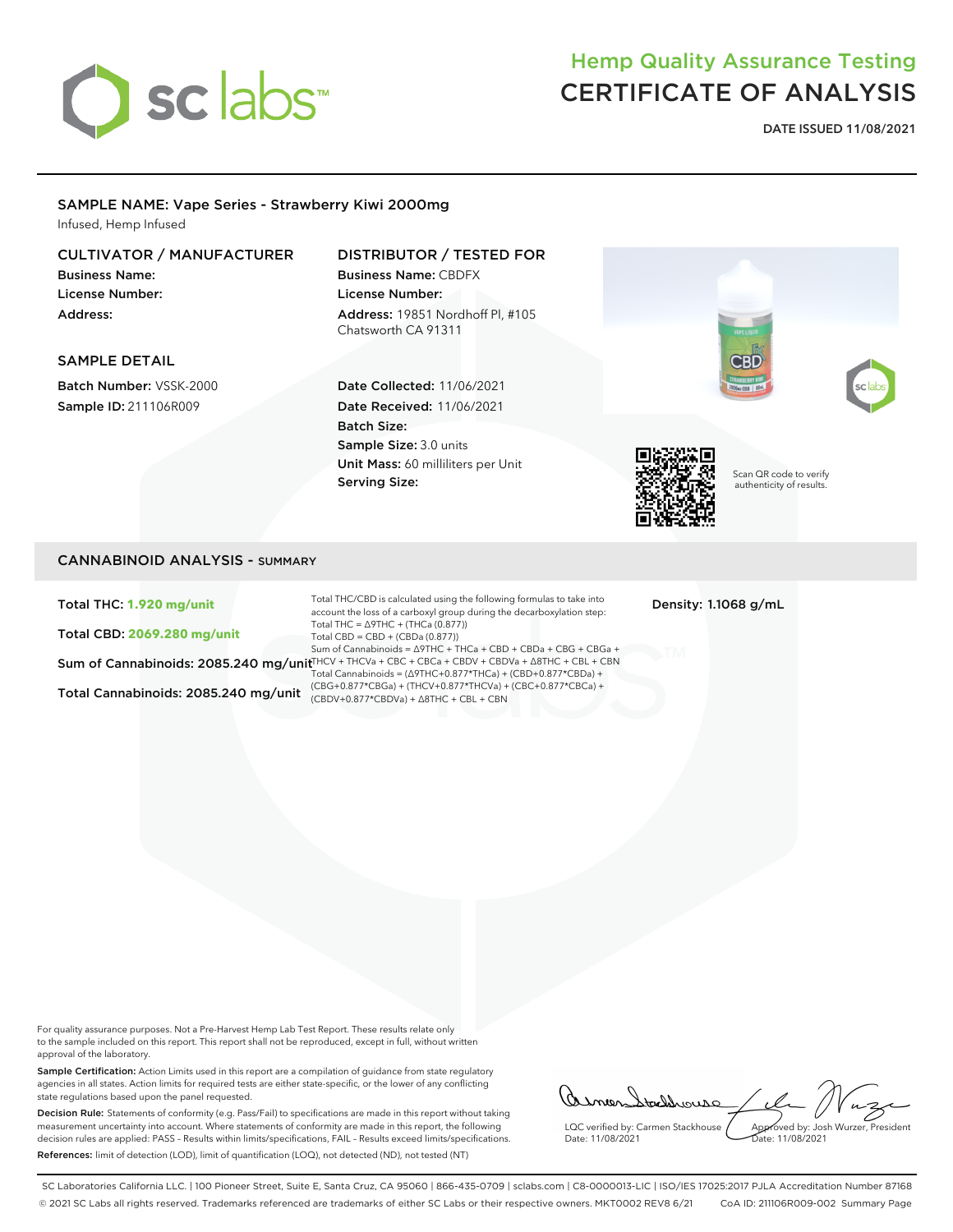

# Hemp Quality Assurance Testing CERTIFICATE OF ANALYSIS

**DATE ISSUED 11/08/2021**

#### SAMPLE NAME: Vape Series - Strawberry Kiwi 2000mg Infused, Hemp Infused

## CULTIVATOR / MANUFACTURER

Business Name: License Number: Address:

# DISTRIBUTOR / TESTED FOR

Business Name: CBDFX License Number: Address: 19851 Nordhoff Pl, #105 Chatsworth CA 91311

### SAMPLE DETAIL

Batch Number: VSSK-2000 Sample ID: 211106R009

# Date Collected: 11/06/2021 Date Received: 11/06/2021 Batch Size: Sample Size: 3.0 units

Unit Mass: 60 milliliters per Unit

Serving Size:



Scan QR code to verify authenticity of results.

## CANNABINOID ANALYSIS - SUMMARY

Total THC: **1.920 mg/unit**

Total CBD: **2069.280 mg/unit**

Total Cannabinoids: 2085.240 mg/unit  $\frac{(CDO+0.877 \times 10^{14} \text{ C})}{(CBDV+0.877 \times CBDV+a)}$ +  $\Delta 8THC + CBL + CBN$ 

Sum of Cannabinoids: 2085.240 mg/unit™CV + THCVa + CBC + CBCa + CBDV + CBDVa + ∆8THC + CBL + CBN Total THC/CBD is calculated using the following formulas to take into account the loss of a carboxyl group during the decarboxylation step: Total THC = ∆9THC + (THCa (0.877)) Total CBD = CBD + (CBDa (0.877)) Sum of Cannabinoids = ∆9THC + THCa + CBD + CBDa + CBG + CBGa + Total Cannabinoids = (∆9THC+0.877\*THCa) + (CBD+0.877\*CBDa) + (CBG+0.877\*CBGa) + (THCV+0.877\*THCVa) + (CBC+0.877\*CBCa) +

Density: 1.1068 g/mL

For quality assurance purposes. Not a Pre-Harvest Hemp Lab Test Report. These results relate only to the sample included on this report. This report shall not be reproduced, except in full, without written approval of the laboratory.

Sample Certification: Action Limits used in this report are a compilation of guidance from state regulatory agencies in all states. Action limits for required tests are either state-specific, or the lower of any conflicting state regulations based upon the panel requested.

Decision Rule: Statements of conformity (e.g. Pass/Fail) to specifications are made in this report without taking measurement uncertainty into account. Where statements of conformity are made in this report, the following decision rules are applied: PASS – Results within limits/specifications, FAIL – Results exceed limits/specifications. References: limit of detection (LOD), limit of quantification (LOQ), not detected (ND), not tested (NT)

asmen Stechhouse LQC verified by: Carmen Stackhouse Approved by: Josh Wurzer, President Date: 11/08/2021 Date: 11/08/2021

SC Laboratories California LLC. | 100 Pioneer Street, Suite E, Santa Cruz, CA 95060 | 866-435-0709 | sclabs.com | C8-0000013-LIC | ISO/IES 17025:2017 PJLA Accreditation Number 87168 © 2021 SC Labs all rights reserved. Trademarks referenced are trademarks of either SC Labs or their respective owners. MKT0002 REV8 6/21 CoA ID: 211106R009-002 Summary Page